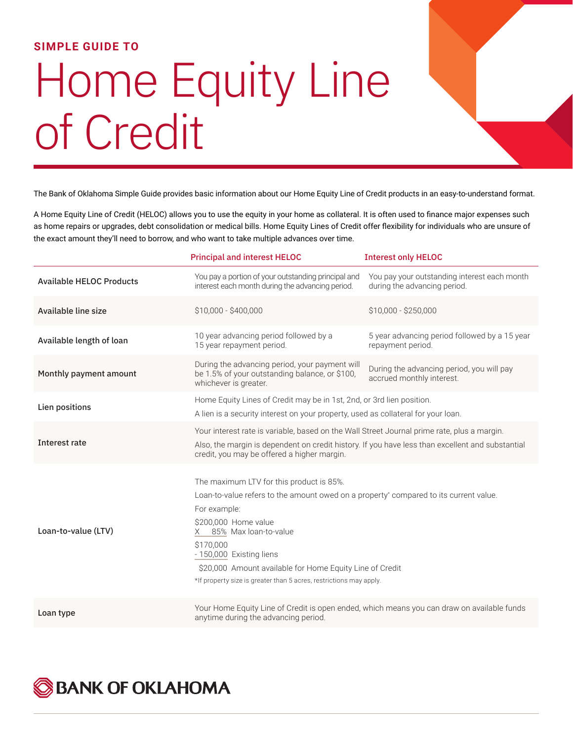## **SIMPLE GUIDE TO**

## Home Equity Line of Credit

The Bank of Oklahoma Simple Guide provides basic information about our Home Equity Line of Credit products in an easy-to-understand format.

A Home Equity Line of Credit (HELOC) allows you to use the equity in your home as collateral. It is often used to finance major expenses such as home repairs or upgrades, debt consolidation or medical bills. Home Equity Lines of Credit offer flexibility for individuals who are unsure of the exact amount they'll need to borrow, and who want to take multiple advances over time.

|                                 | <b>Principal and interest HELOC</b>                                                                                                                                                                                                                                                                                                                                                 | <b>Interest only HELOC</b>                                                   |
|---------------------------------|-------------------------------------------------------------------------------------------------------------------------------------------------------------------------------------------------------------------------------------------------------------------------------------------------------------------------------------------------------------------------------------|------------------------------------------------------------------------------|
| <b>Available HELOC Products</b> | You pay a portion of your outstanding principal and<br>interest each month during the advancing period.                                                                                                                                                                                                                                                                             | You pay your outstanding interest each month<br>during the advancing period. |
| Available line size             | \$10,000 - \$400,000                                                                                                                                                                                                                                                                                                                                                                | \$10,000 - \$250,000                                                         |
| Available length of loan        | 10 year advancing period followed by a<br>15 year repayment period.                                                                                                                                                                                                                                                                                                                 | 5 year advancing period followed by a 15 year<br>repayment period.           |
| Monthly payment amount          | During the advancing period, your payment will<br>be 1.5% of your outstanding balance, or \$100,<br>whichever is greater.                                                                                                                                                                                                                                                           | During the advancing period, you will pay<br>accrued monthly interest.       |
| Lien positions                  | Home Equity Lines of Credit may be in 1st, 2nd, or 3rd lien position.<br>A lien is a security interest on your property, used as collateral for your loan.                                                                                                                                                                                                                          |                                                                              |
| Interest rate                   | Your interest rate is variable, based on the Wall Street Journal prime rate, plus a margin.<br>Also, the margin is dependent on credit history. If you have less than excellent and substantial<br>credit, you may be offered a higher margin.                                                                                                                                      |                                                                              |
| Loan-to-value (LTV)             | The maximum LTV for this product is 85%.<br>Loan-to-value refers to the amount owed on a property* compared to its current value.<br>For example:<br>\$200,000 Home value<br>85% Max loan-to-value<br>X.<br>\$170,000<br>- 150,000 Existing liens<br>\$20,000 Amount available for Home Equity Line of Credit<br>*If property size is greater than 5 acres, restrictions may apply. |                                                                              |
| Loan type                       | Your Home Equity Line of Credit is open ended, which means you can draw on available funds<br>anytime during the advancing period.                                                                                                                                                                                                                                                  |                                                                              |